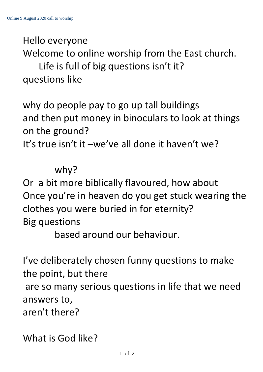Hello everyone

Welcome to online worship from the East church.

Life is full of big questions isn't it? questions like

why do people pay to go up tall buildings and then put money in binoculars to look at things on the ground? It's true isn't it –we've all done it haven't we?

## why?

Or a bit more biblically flavoured, how about Once you're in heaven do you get stuck wearing the clothes you were buried in for eternity? Big questions

based around our behaviour.

I've deliberately chosen funny questions to make the point, but there are so many serious questions in life that we need answers to, aren't there?

What is God like?